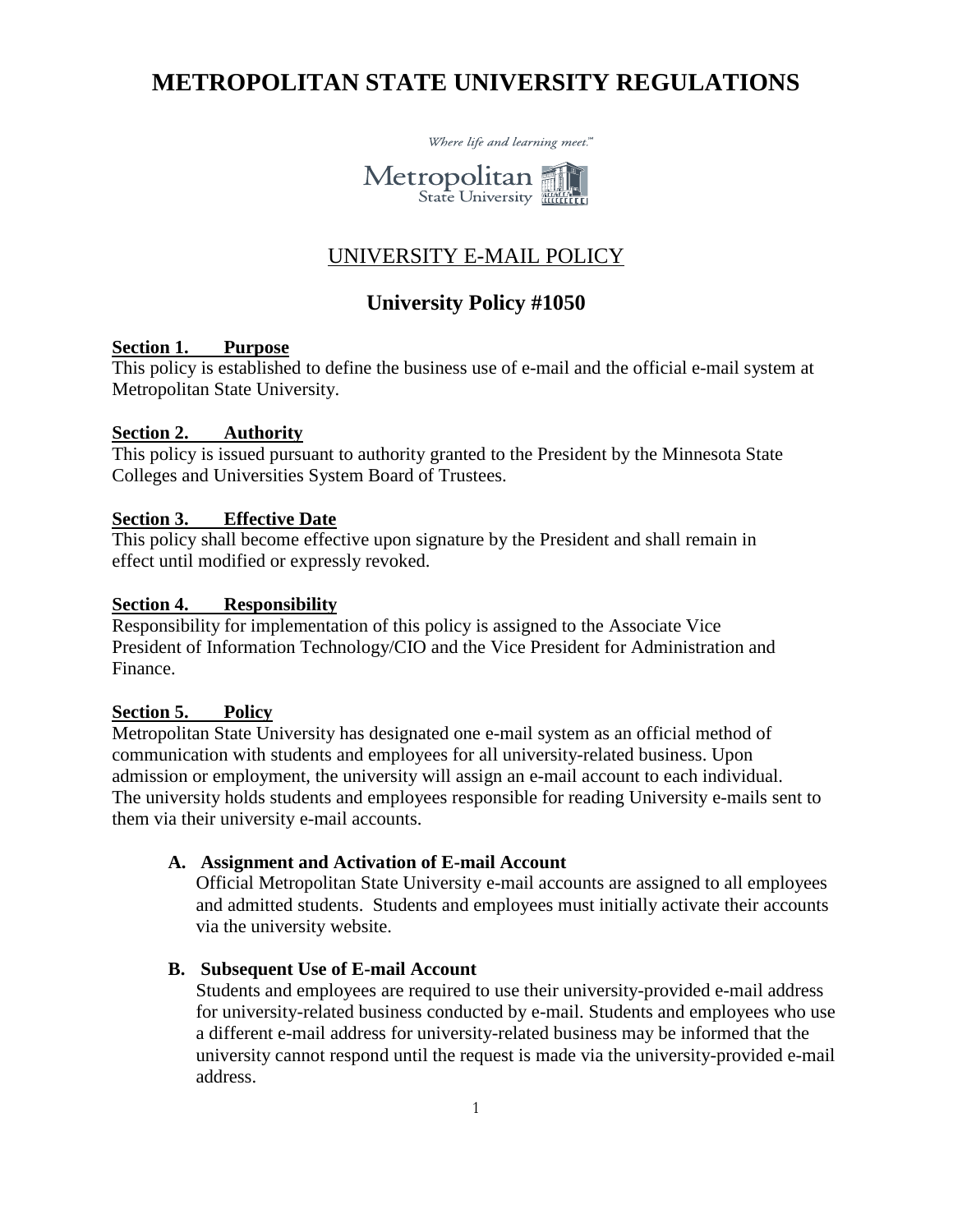# **METROPOLITAN STATE UNIVERSITY REGULATIONS**



## UNIVERSITY E-MAIL POLICY

## **University Policy #1050**

## **Section 1. Purpose**

This policy is established to define the business use of e-mail and the official e-mail system at Metropolitan State University.

#### **Section 2. Authority**

This policy is issued pursuant to authority granted to the President by the Minnesota State Colleges and Universities System Board of Trustees.

#### **Section 3. Effective Date**

This policy shall become effective upon signature by the President and shall remain in effect until modified or expressly revoked.

#### **Section 4. Responsibility**

Responsibility for implementation of this policy is assigned to the Associate Vice President of Information Technology/CIO and the Vice President for Administration and Finance.

## **Section 5. Policy**

Metropolitan State University has designated one e-mail system as an official method of communication with students and employees for all university-related business. Upon admission or employment, the university will assign an e-mail account to each individual. The university holds students and employees responsible for reading University e-mails sent to them via their university e-mail accounts.

#### **A. Assignment and Activation of E-mail Account**

Official Metropolitan State University e-mail accounts are assigned to all employees and admitted students. Students and employees must initially activate their accounts via the university website.

#### **B. Subsequent Use of E-mail Account**

Students and employees are required to use their university-provided e-mail address for university-related business conducted by e-mail. Students and employees who use a different e-mail address for university-related business may be informed that the university cannot respond until the request is made via the university-provided e-mail address.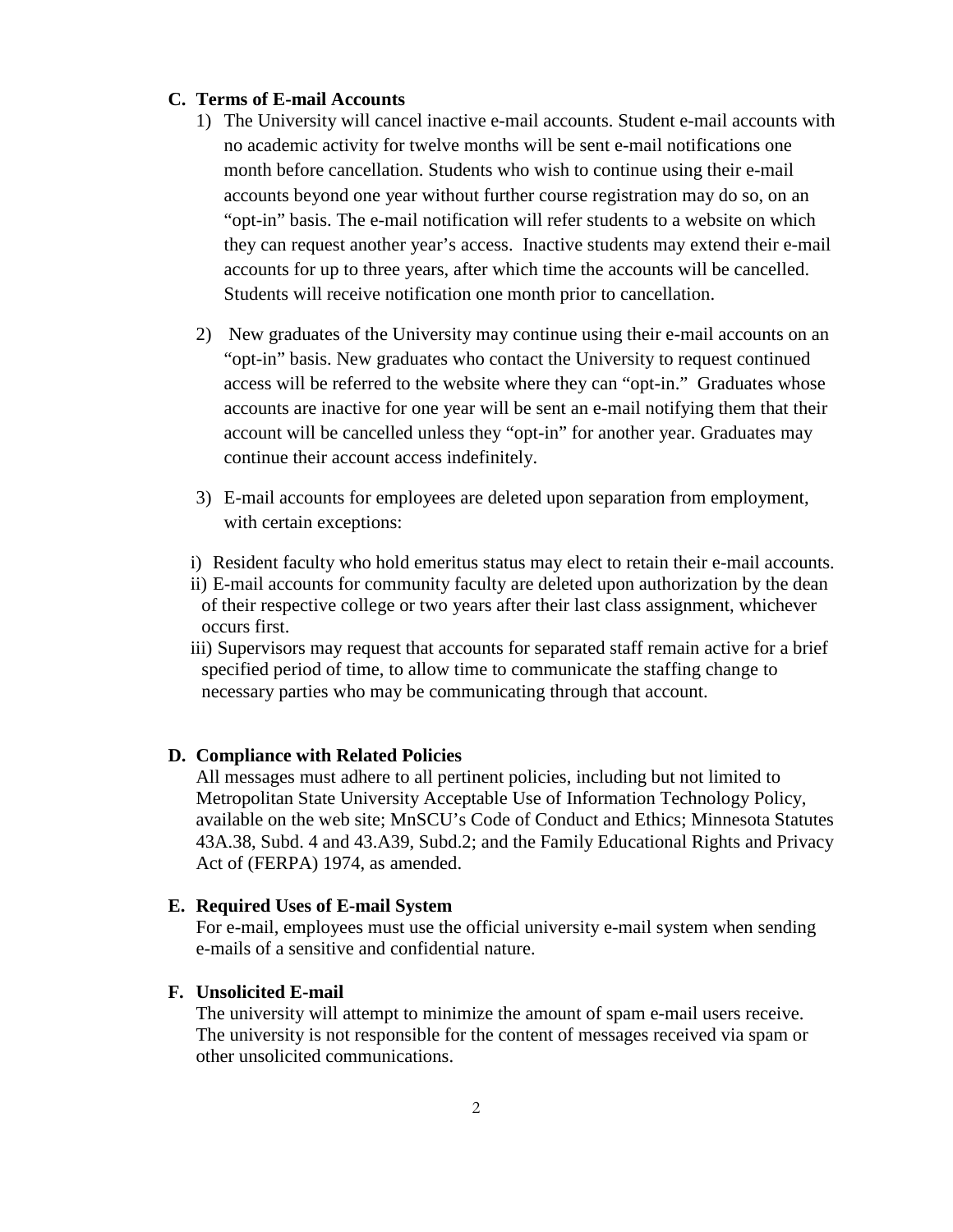### **C. Terms of E-mail Accounts**

- 1) The University will cancel inactive e-mail accounts. Student e-mail accounts with no academic activity for twelve months will be sent e-mail notifications one month before cancellation. Students who wish to continue using their e-mail accounts beyond one year without further course registration may do so, on an "opt-in" basis. The e-mail notification will refer students to a website on which they can request another year's access. Inactive students may extend their e-mail accounts for up to three years, after which time the accounts will be cancelled. Students will receive notification one month prior to cancellation.
- 2) New graduates of the University may continue using their e-mail accounts on an "opt-in" basis. New graduates who contact the University to request continued access will be referred to the website where they can "opt-in." Graduates whose accounts are inactive for one year will be sent an e-mail notifying them that their account will be cancelled unless they "opt-in" for another year. Graduates may continue their account access indefinitely.
- 3) E-mail accounts for employees are deleted upon separation from employment, with certain exceptions:
- i) Resident faculty who hold emeritus status may elect to retain their e-mail accounts.
- ii) E-mail accounts for community faculty are deleted upon authorization by the dean of their respective college or two years after their last class assignment, whichever occurs first.
- iii) Supervisors may request that accounts for separated staff remain active for a brief specified period of time, to allow time to communicate the staffing change to necessary parties who may be communicating through that account.

## **D. Compliance with Related Policies**

All messages must adhere to all pertinent policies, including but not limited to Metropolitan State University Acceptable Use of Information Technology Policy, available on the web site; MnSCU's Code of Conduct and Ethics; Minnesota Statutes 43A.38, Subd. 4 and 43.A39, Subd.2; and the Family Educational Rights and Privacy Act of (FERPA) 1974, as amended.

## **E. Required Uses of E-mail System**

For e-mail, employees must use the official university e-mail system when sending e-mails of a sensitive and confidential nature.

## **F. Unsolicited E-mail**

The university will attempt to minimize the amount of spam e-mail users receive. The university is not responsible for the content of messages received via spam or other unsolicited communications.